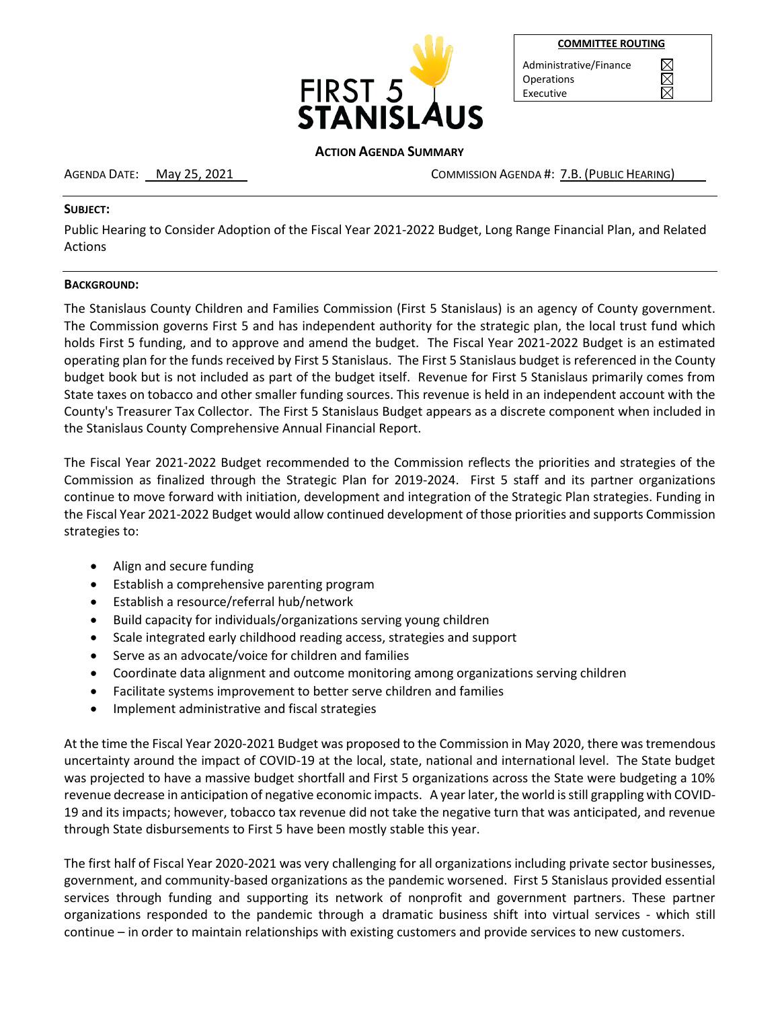

| <b>COMMITTEE ROUTING</b> |  |
|--------------------------|--|
|                          |  |

 $\boxtimes$ 

Administrative/Finance Operations Executive

#### **ACTION AGENDA SUMMARY**

AGENDA DATE: May 25, 2021 COMMISSION AGENDA #: 7.B. (PUBLIC HEARING)

#### **SUBJECT:**

Public Hearing to Consider Adoption of the Fiscal Year 2021-2022 Budget, Long Range Financial Plan, and Related Actions

#### **BACKGROUND:**

The Stanislaus County Children and Families Commission (First 5 Stanislaus) is an agency of County government. The Commission governs First 5 and has independent authority for the strategic plan, the local trust fund which holds First 5 funding, and to approve and amend the budget. The Fiscal Year 2021-2022 Budget is an estimated operating plan for the funds received by First 5 Stanislaus. The First 5 Stanislaus budget is referenced in the County budget book but is not included as part of the budget itself. Revenue for First 5 Stanislaus primarily comes from State taxes on tobacco and other smaller funding sources. This revenue is held in an independent account with the County's Treasurer Tax Collector. The First 5 Stanislaus Budget appears as a discrete component when included in the Stanislaus County Comprehensive Annual Financial Report.

The Fiscal Year 2021-2022 Budget recommended to the Commission reflects the priorities and strategies of the Commission as finalized through the Strategic Plan for 2019-2024. First 5 staff and its partner organizations continue to move forward with initiation, development and integration of the Strategic Plan strategies. Funding in the Fiscal Year 2021-2022 Budget would allow continued development of those priorities and supports Commission strategies to:

- Align and secure funding
- Establish a comprehensive parenting program
- Establish a resource/referral hub/network
- Build capacity for individuals/organizations serving young children
- Scale integrated early childhood reading access, strategies and support
- Serve as an advocate/voice for children and families
- Coordinate data alignment and outcome monitoring among organizations serving children
- Facilitate systems improvement to better serve children and families
- Implement administrative and fiscal strategies

At the time the Fiscal Year 2020-2021 Budget was proposed to the Commission in May 2020, there was tremendous uncertainty around the impact of COVID-19 at the local, state, national and international level. The State budget was projected to have a massive budget shortfall and First 5 organizations across the State were budgeting a 10% revenue decrease in anticipation of negative economic impacts. A year later, the world is still grappling with COVID-19 and its impacts; however, tobacco tax revenue did not take the negative turn that was anticipated, and revenue through State disbursements to First 5 have been mostly stable this year.

The first half of Fiscal Year 2020-2021 was very challenging for all organizations including private sector businesses, government, and community-based organizations as the pandemic worsened. First 5 Stanislaus provided essential services through funding and supporting its network of nonprofit and government partners. These partner organizations responded to the pandemic through a dramatic business shift into virtual services - which still continue – in order to maintain relationships with existing customers and provide services to new customers.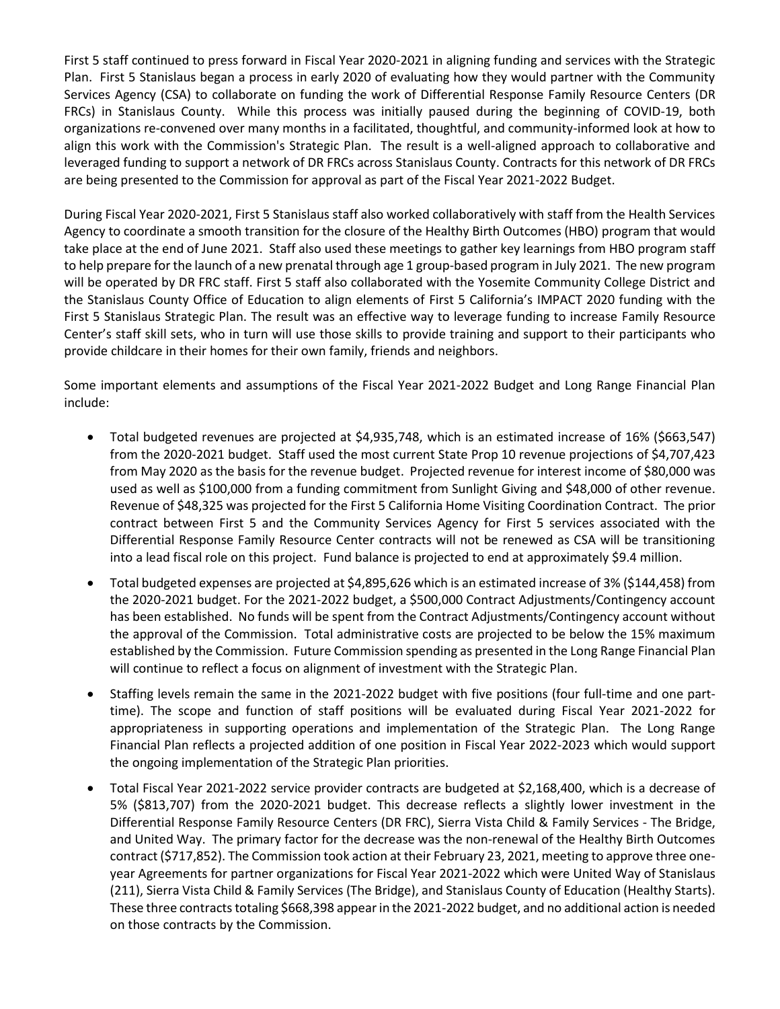First 5 staff continued to press forward in Fiscal Year 2020-2021 in aligning funding and services with the Strategic Plan. First 5 Stanislaus began a process in early 2020 of evaluating how they would partner with the Community Services Agency (CSA) to collaborate on funding the work of Differential Response Family Resource Centers (DR FRCs) in Stanislaus County. While this process was initially paused during the beginning of COVID-19, both organizations re-convened over many months in a facilitated, thoughtful, and community-informed look at how to align this work with the Commission's Strategic Plan. The result is a well-aligned approach to collaborative and leveraged funding to support a network of DR FRCs across Stanislaus County. Contracts for this network of DR FRCs are being presented to the Commission for approval as part of the Fiscal Year 2021-2022 Budget.

During Fiscal Year 2020-2021, First 5 Stanislaus staff also worked collaboratively with staff from the Health Services Agency to coordinate a smooth transition for the closure of the Healthy Birth Outcomes (HBO) program that would take place at the end of June 2021. Staff also used these meetings to gather key learnings from HBO program staff to help prepare for the launch of a new prenatal through age 1 group-based program in July 2021. The new program will be operated by DR FRC staff. First 5 staff also collaborated with the Yosemite Community College District and the Stanislaus County Office of Education to align elements of First 5 California's IMPACT 2020 funding with the First 5 Stanislaus Strategic Plan. The result was an effective way to leverage funding to increase Family Resource Center's staff skill sets, who in turn will use those skills to provide training and support to their participants who provide childcare in their homes for their own family, friends and neighbors.

Some important elements and assumptions of the Fiscal Year 2021-2022 Budget and Long Range Financial Plan include:

- Total budgeted revenues are projected at \$4,935,748, which is an estimated increase of 16% (\$663,547) from the 2020-2021 budget. Staff used the most current State Prop 10 revenue projections of \$4,707,423 from May 2020 as the basis for the revenue budget. Projected revenue for interest income of \$80,000 was used as well as \$100,000 from a funding commitment from Sunlight Giving and \$48,000 of other revenue. Revenue of \$48,325 was projected for the First 5 California Home Visiting Coordination Contract. The prior contract between First 5 and the Community Services Agency for First 5 services associated with the Differential Response Family Resource Center contracts will not be renewed as CSA will be transitioning into a lead fiscal role on this project. Fund balance is projected to end at approximately \$9.4 million.
- Total budgeted expenses are projected at \$4,895,626 which is an estimated increase of 3% (\$144,458) from the 2020-2021 budget. For the 2021-2022 budget, a \$500,000 Contract Adjustments/Contingency account has been established. No funds will be spent from the Contract Adjustments/Contingency account without the approval of the Commission. Total administrative costs are projected to be below the 15% maximum established by the Commission. Future Commission spending as presented in the Long Range Financial Plan will continue to reflect a focus on alignment of investment with the Strategic Plan.
- Staffing levels remain the same in the 2021-2022 budget with five positions (four full-time and one parttime). The scope and function of staff positions will be evaluated during Fiscal Year 2021-2022 for appropriateness in supporting operations and implementation of the Strategic Plan. The Long Range Financial Plan reflects a projected addition of one position in Fiscal Year 2022-2023 which would support the ongoing implementation of the Strategic Plan priorities.
- Total Fiscal Year 2021-2022 service provider contracts are budgeted at \$2,168,400, which is a decrease of 5% (\$813,707) from the 2020-2021 budget. This decrease reflects a slightly lower investment in the Differential Response Family Resource Centers (DR FRC), Sierra Vista Child & Family Services - The Bridge, and United Way. The primary factor for the decrease was the non-renewal of the Healthy Birth Outcomes contract (\$717,852). The Commission took action at their February 23, 2021, meeting to approve three oneyear Agreements for partner organizations for Fiscal Year 2021-2022 which were United Way of Stanislaus (211), Sierra Vista Child & Family Services (The Bridge), and Stanislaus County of Education (Healthy Starts). These three contractstotaling \$668,398 appear in the 2021-2022 budget, and no additional action is needed on those contracts by the Commission.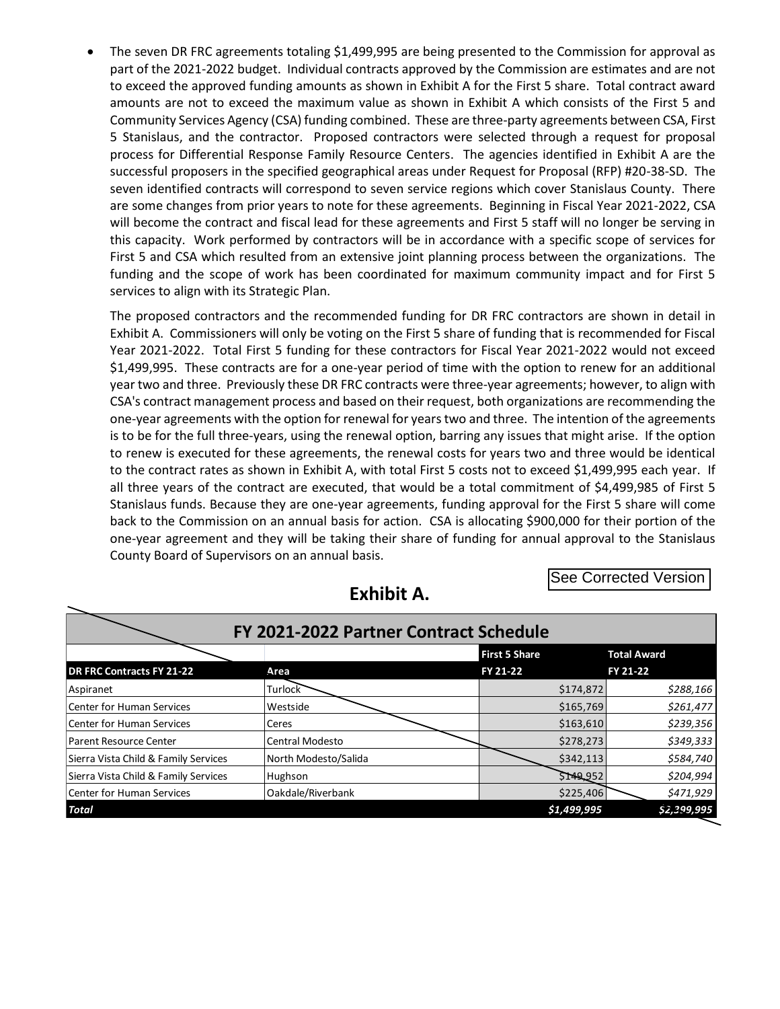The seven DR FRC agreements totaling \$1,499,995 are being presented to the Commission for approval as part of the 2021-2022 budget. Individual contracts approved by the Commission are estimates and are not to exceed the approved funding amounts as shown in Exhibit A for the First 5 share. Total contract award amounts are not to exceed the maximum value as shown in Exhibit A which consists of the First 5 and Community Services Agency (CSA) funding combined. These are three-party agreements between CSA, First 5 Stanislaus, and the contractor. Proposed contractors were selected through a request for proposal process for Differential Response Family Resource Centers. The agencies identified in Exhibit A are the successful proposers in the specified geographical areas under Request for Proposal (RFP) #20-38-SD. The seven identified contracts will correspond to seven service regions which cover Stanislaus County. There are some changes from prior years to note for these agreements. Beginning in Fiscal Year 2021-2022, CSA will become the contract and fiscal lead for these agreements and First 5 staff will no longer be serving in this capacity. Work performed by contractors will be in accordance with a specific scope of services for First 5 and CSA which resulted from an extensive joint planning process between the organizations. The funding and the scope of work has been coordinated for maximum community impact and for First 5 services to align with its Strategic Plan.

The proposed contractors and the recommended funding for DR FRC contractors are shown in detail in Exhibit A. Commissioners will only be voting on the First 5 share of funding that is recommended for Fiscal Year 2021-2022. Total First 5 funding for these contractors for Fiscal Year 2021-2022 would not exceed \$1,499,995. These contracts are for a one-year period of time with the option to renew for an additional year two and three. Previously these DR FRC contracts were three-year agreements; however, to align with CSA's contract management process and based on their request, both organizations are recommending the one-year agreements with the option for renewal for yearstwo and three. The intention of the agreements is to be for the full three-years, using the renewal option, barring any issues that might arise. If the option to renew is executed for these agreements, the renewal costs for years two and three would be identical to the contract rates as shown in Exhibit A, with total First 5 costs not to exceed \$1,499,995 each year. If all three years of the contract are executed, that would be a total commitment of \$4,499,985 of First 5 Stanislaus funds. Because they are one-year agreements, funding approval for the First 5 share will come back to the Commission on an annual basis for action. CSA is allocating \$900,000 for their portion of the one-year agreement and they will be taking their share of funding for annual approval to the Stanislaus County Board of Supervisors on an annual basis.

See Corrected Version

| FY 2021-2022 Partner Contract Schedule |                        |             |             |  |  |  |  |  |  |  |
|----------------------------------------|------------------------|-------------|-------------|--|--|--|--|--|--|--|
|                                        | <b>First 5 Share</b>   |             |             |  |  |  |  |  |  |  |
| DR FRC Contracts FY 21-22              | Area                   | FY 21-22    | FY 21-22    |  |  |  |  |  |  |  |
| Aspiranet                              | <b>Turlock</b>         | \$174,872   | \$288,166   |  |  |  |  |  |  |  |
| Center for Human Services              | Westside               | \$165,769   | \$261,477   |  |  |  |  |  |  |  |
| Center for Human Services              | Ceres                  | \$163,610   | \$239,356   |  |  |  |  |  |  |  |
| <b>Parent Resource Center</b>          | <b>Central Modesto</b> | \$278,273   | \$349,333   |  |  |  |  |  |  |  |
| Sierra Vista Child & Family Services   | North Modesto/Salida   | \$342,113   | \$584,740   |  |  |  |  |  |  |  |
| Sierra Vista Child & Family Services   | Hughson                | \$149,952   | \$204,994   |  |  |  |  |  |  |  |
| Center for Human Services              | Oakdale/Riverbank      | \$225,406   | \$471,929   |  |  |  |  |  |  |  |
| <b>Total</b>                           |                        | \$1,499,995 | \$2,399,995 |  |  |  |  |  |  |  |

# **Exhibit A.**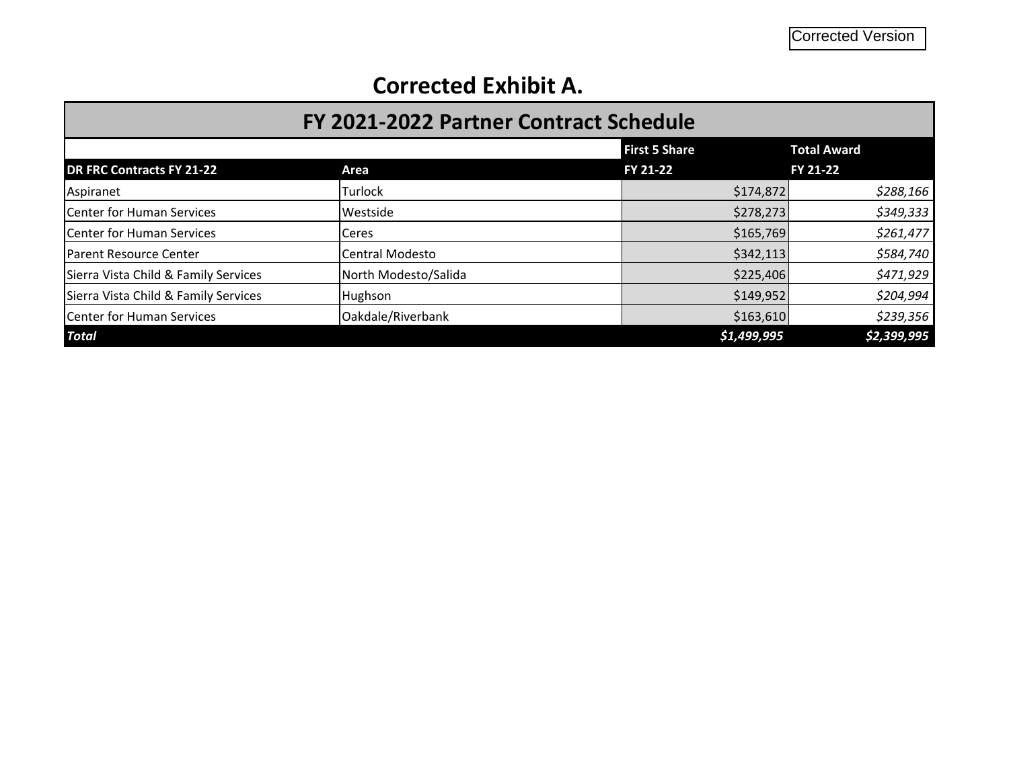# **Corrected Exhibit A.**

| FY 2021-2022 Partner Contract Schedule |                      |                                  |                                |  |  |  |  |  |  |
|----------------------------------------|----------------------|----------------------------------|--------------------------------|--|--|--|--|--|--|
| <b>DR FRC Contracts FY 21-22</b>       | Area                 | <b>First 5 Share</b><br>FY 21-22 | <b>Total Award</b><br>FY 21-22 |  |  |  |  |  |  |
| Aspiranet                              | <b>Turlock</b>       | \$174,872                        | \$288,166                      |  |  |  |  |  |  |
| Center for Human Services              | Westside             | \$278,273                        | \$349,333                      |  |  |  |  |  |  |
| Center for Human Services              | Ceres                |                                  | \$261,477<br>\$165,769         |  |  |  |  |  |  |
| Parent Resource Center                 | Central Modesto      | \$342,113                        | \$584,740                      |  |  |  |  |  |  |
| Sierra Vista Child & Family Services   | North Modesto/Salida | \$225,406                        | \$471,929                      |  |  |  |  |  |  |
| Sierra Vista Child & Family Services   | Hughson              | \$149,952                        | \$204,994                      |  |  |  |  |  |  |
| Center for Human Services              | Oakdale/Riverbank    | \$163,610                        | \$239,356                      |  |  |  |  |  |  |
| <b>Total</b>                           |                      | \$1,499,995                      | \$2,399,995                    |  |  |  |  |  |  |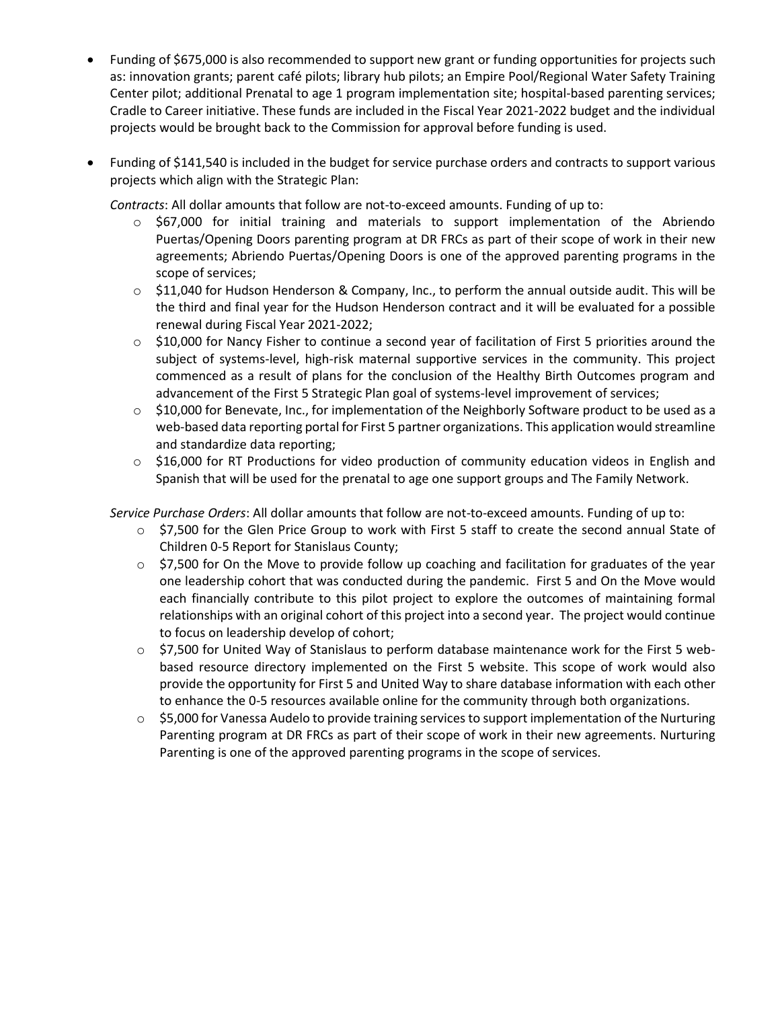- Funding of \$675,000 is also recommended to support new grant or funding opportunities for projects such as: innovation grants; parent café pilots; library hub pilots; an Empire Pool/Regional Water Safety Training Center pilot; additional Prenatal to age 1 program implementation site; hospital-based parenting services; Cradle to Career initiative. These funds are included in the Fiscal Year 2021-2022 budget and the individual projects would be brought back to the Commission for approval before funding is used.
- Funding of \$141,540 is included in the budget for service purchase orders and contracts to support various projects which align with the Strategic Plan:

*Contracts*: All dollar amounts that follow are not-to-exceed amounts. Funding of up to:

- $\circ$  \$67,000 for initial training and materials to support implementation of the Abriendo Puertas/Opening Doors parenting program at DR FRCs as part of their scope of work in their new agreements; Abriendo Puertas/Opening Doors is one of the approved parenting programs in the scope of services;
- $\circ$  \$11,040 for Hudson Henderson & Company, Inc., to perform the annual outside audit. This will be the third and final year for the Hudson Henderson contract and it will be evaluated for a possible renewal during Fiscal Year 2021-2022;
- $\circ$  \$10,000 for Nancy Fisher to continue a second year of facilitation of First 5 priorities around the subject of systems-level, high-risk maternal supportive services in the community. This project commenced as a result of plans for the conclusion of the Healthy Birth Outcomes program and advancement of the First 5 Strategic Plan goal of systems-level improvement of services;
- $\circ$  \$10,000 for Benevate, Inc., for implementation of the Neighborly Software product to be used as a web-based data reporting portal for First 5 partner organizations. This application would streamline and standardize data reporting;
- $\circ$  \$16,000 for RT Productions for video production of community education videos in English and Spanish that will be used for the prenatal to age one support groups and The Family Network.

*Service Purchase Orders*: All dollar amounts that follow are not-to-exceed amounts. Funding of up to:

- $\circ$  \$7,500 for the Glen Price Group to work with First 5 staff to create the second annual State of Children 0-5 Report for Stanislaus County;
- $\circ$  \$7,500 for On the Move to provide follow up coaching and facilitation for graduates of the year one leadership cohort that was conducted during the pandemic. First 5 and On the Move would each financially contribute to this pilot project to explore the outcomes of maintaining formal relationships with an original cohort of this project into a second year. The project would continue to focus on leadership develop of cohort;
- o \$7,500 for United Way of Stanislaus to perform database maintenance work for the First 5 webbased resource directory implemented on the First 5 website. This scope of work would also provide the opportunity for First 5 and United Way to share database information with each other to enhance the 0-5 resources available online for the community through both organizations.
- $\circ$  \$5,000 for Vanessa Audelo to provide training services to support implementation of the Nurturing Parenting program at DR FRCs as part of their scope of work in their new agreements. Nurturing Parenting is one of the approved parenting programs in the scope of services.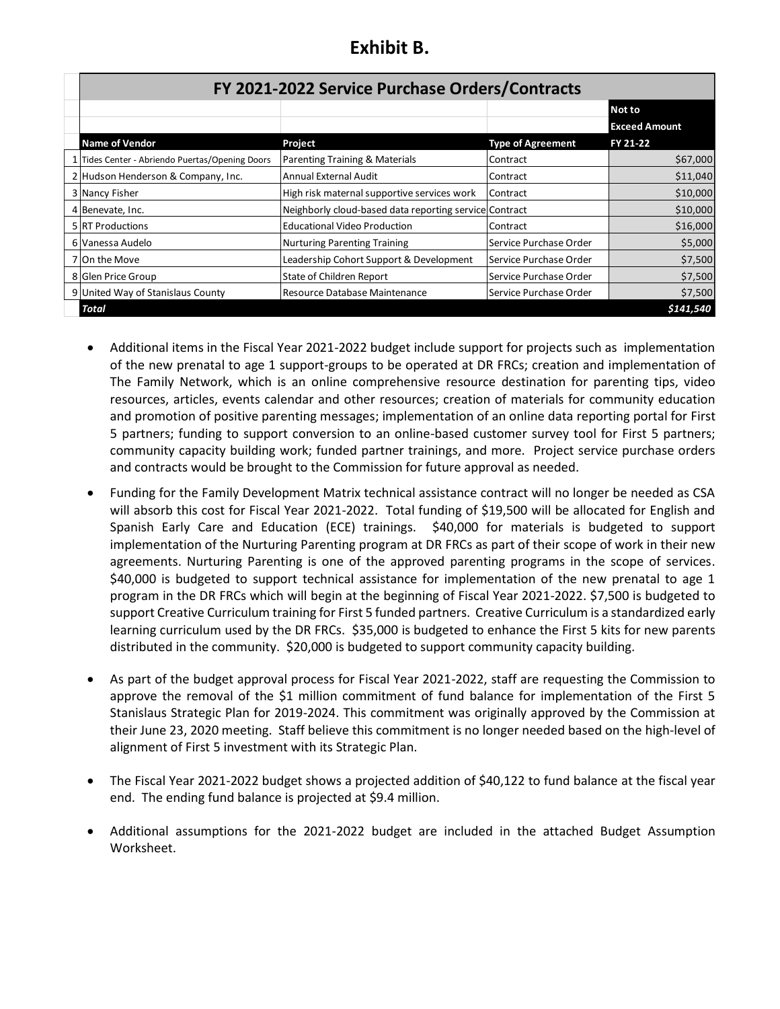# **Exhibit B.**

| FY 2021-2022 Service Purchase Orders/Contracts  |                                                        |                          |                      |  |  |  |  |  |  |  |  |  |
|-------------------------------------------------|--------------------------------------------------------|--------------------------|----------------------|--|--|--|--|--|--|--|--|--|
|                                                 |                                                        |                          | Not to               |  |  |  |  |  |  |  |  |  |
|                                                 |                                                        |                          | <b>Exceed Amount</b> |  |  |  |  |  |  |  |  |  |
| <b>Name of Vendor</b>                           | Project                                                | <b>Type of Agreement</b> | FY 21-22             |  |  |  |  |  |  |  |  |  |
| 1 Tides Center - Abriendo Puertas/Opening Doors | Parenting Training & Materials                         | Contract                 | \$67,000             |  |  |  |  |  |  |  |  |  |
| 2 Hudson Henderson & Company, Inc.              | Annual External Audit                                  | Contract                 | \$11,040             |  |  |  |  |  |  |  |  |  |
| 3 Nancy Fisher                                  | High risk maternal supportive services work            | Contract                 | \$10,000             |  |  |  |  |  |  |  |  |  |
| 4 Benevate, Inc.                                | Neighborly cloud-based data reporting service Contract |                          | \$10,000             |  |  |  |  |  |  |  |  |  |
| 5 RT Productions                                | <b>Educational Video Production</b>                    | Contract                 | \$16,000             |  |  |  |  |  |  |  |  |  |
| 6 Vanessa Audelo                                | Nurturing Parenting Training                           | Service Purchase Order   | \$5,000              |  |  |  |  |  |  |  |  |  |
| 7 On the Move                                   | Leadership Cohort Support & Development                | Service Purchase Order   | \$7,500              |  |  |  |  |  |  |  |  |  |
| 8 Glen Price Group                              | State of Children Report                               | Service Purchase Order   | \$7,500              |  |  |  |  |  |  |  |  |  |
| 9 United Way of Stanislaus County               | Resource Database Maintenance                          | Service Purchase Order   | \$7,500              |  |  |  |  |  |  |  |  |  |
| Total                                           |                                                        |                          | \$141,540            |  |  |  |  |  |  |  |  |  |

- Additional items in the Fiscal Year 2021-2022 budget include support for projects such as implementation of the new prenatal to age 1 support-groups to be operated at DR FRCs; creation and implementation of The Family Network, which is an online comprehensive resource destination for parenting tips, video resources, articles, events calendar and other resources; creation of materials for community education and promotion of positive parenting messages; implementation of an online data reporting portal for First 5 partners; funding to support conversion to an online-based customer survey tool for First 5 partners; community capacity building work; funded partner trainings, and more. Project service purchase orders and contracts would be brought to the Commission for future approval as needed.
- Funding for the Family Development Matrix technical assistance contract will no longer be needed as CSA will absorb this cost for Fiscal Year 2021-2022. Total funding of \$19,500 will be allocated for English and Spanish Early Care and Education (ECE) trainings. \$40,000 for materials is budgeted to support implementation of the Nurturing Parenting program at DR FRCs as part of their scope of work in their new agreements. Nurturing Parenting is one of the approved parenting programs in the scope of services. \$40,000 is budgeted to support technical assistance for implementation of the new prenatal to age 1 program in the DR FRCs which will begin at the beginning of Fiscal Year 2021-2022. \$7,500 is budgeted to support Creative Curriculum training for First 5 funded partners. Creative Curriculum is a standardized early learning curriculum used by the DR FRCs. \$35,000 is budgeted to enhance the First 5 kits for new parents distributed in the community. \$20,000 is budgeted to support community capacity building.
- As part of the budget approval process for Fiscal Year 2021-2022, staff are requesting the Commission to approve the removal of the \$1 million commitment of fund balance for implementation of the First 5 Stanislaus Strategic Plan for 2019-2024. This commitment was originally approved by the Commission at their June 23, 2020 meeting. Staff believe this commitment is no longer needed based on the high-level of alignment of First 5 investment with its Strategic Plan.
- The Fiscal Year 2021-2022 budget shows a projected addition of \$40,122 to fund balance at the fiscal year end. The ending fund balance is projected at \$9.4 million.
- Additional assumptions for the 2021-2022 budget are included in the attached Budget Assumption Worksheet.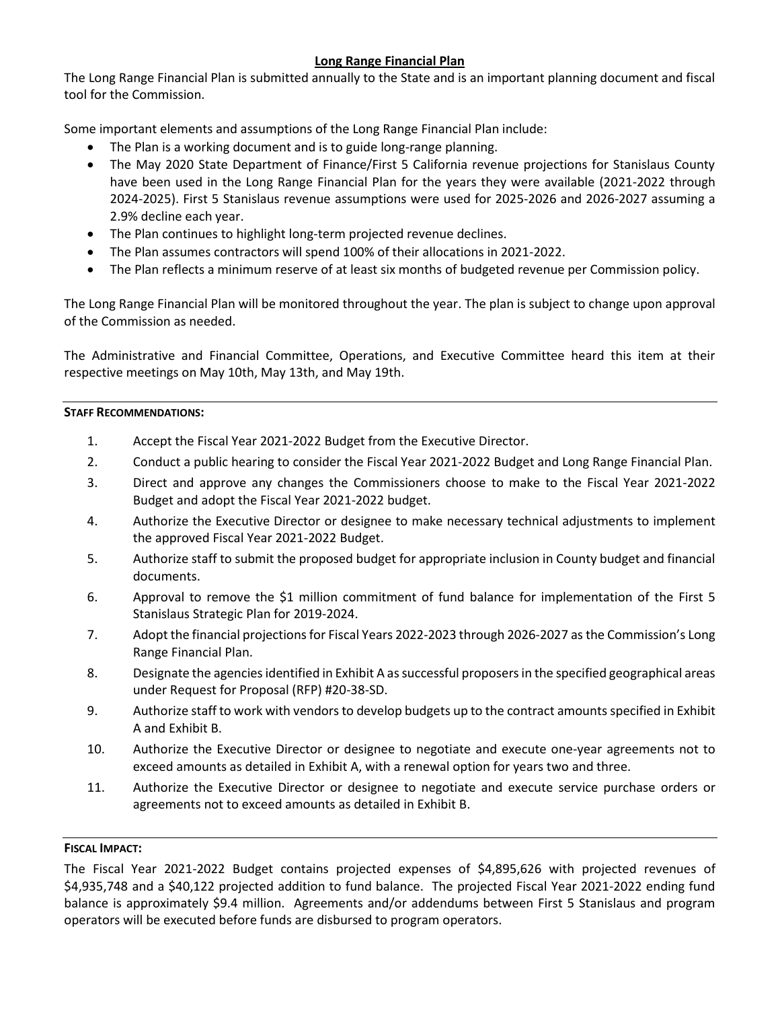### **Long Range Financial Plan**

The Long Range Financial Plan is submitted annually to the State and is an important planning document and fiscal tool for the Commission.

Some important elements and assumptions of the Long Range Financial Plan include:

- The Plan is a working document and is to guide long-range planning.
- The May 2020 State Department of Finance/First 5 California revenue projections for Stanislaus County have been used in the Long Range Financial Plan for the years they were available (2021-2022 through 2024-2025). First 5 Stanislaus revenue assumptions were used for 2025-2026 and 2026-2027 assuming a 2.9% decline each year.
- The Plan continues to highlight long-term projected revenue declines.
- The Plan assumes contractors will spend 100% of their allocations in 2021-2022.
- The Plan reflects a minimum reserve of at least six months of budgeted revenue per Commission policy.

The Long Range Financial Plan will be monitored throughout the year. The plan is subject to change upon approval of the Commission as needed.

The Administrative and Financial Committee, Operations, and Executive Committee heard this item at their respective meetings on May 10th, May 13th, and May 19th.

#### **STAFF RECOMMENDATIONS:**

- 1. Accept the Fiscal Year 2021-2022 Budget from the Executive Director.
- 2. Conduct a public hearing to consider the Fiscal Year 2021-2022 Budget and Long Range Financial Plan.
- 3. Direct and approve any changes the Commissioners choose to make to the Fiscal Year 2021-2022 Budget and adopt the Fiscal Year 2021-2022 budget.
- 4. Authorize the Executive Director or designee to make necessary technical adjustments to implement the approved Fiscal Year 2021-2022 Budget.
- 5. Authorize staff to submit the proposed budget for appropriate inclusion in County budget and financial documents.
- 6. Approval to remove the \$1 million commitment of fund balance for implementation of the First 5 Stanislaus Strategic Plan for 2019-2024.
- 7. Adopt the financial projections for Fiscal Years 2022-2023 through 2026-2027 as the Commission's Long Range Financial Plan.
- 8. Designate the agencies identified in Exhibit A as successful proposers in the specified geographical areas under Request for Proposal (RFP) #20-38-SD.
- 9. Authorize staff to work with vendorsto develop budgets up to the contract amounts specified in Exhibit A and Exhibit B.
- 10. Authorize the Executive Director or designee to negotiate and execute one-year agreements not to exceed amounts as detailed in Exhibit A, with a renewal option for years two and three.
- 11. Authorize the Executive Director or designee to negotiate and execute service purchase orders or agreements not to exceed amounts as detailed in Exhibit B.

#### **FISCAL IMPACT:**

The Fiscal Year 2021-2022 Budget contains projected expenses of \$4,895,626 with projected revenues of \$4,935,748 and a \$40,122 projected addition to fund balance. The projected Fiscal Year 2021-2022 ending fund balance is approximately \$9.4 million. Agreements and/or addendums between First 5 Stanislaus and program operators will be executed before funds are disbursed to program operators.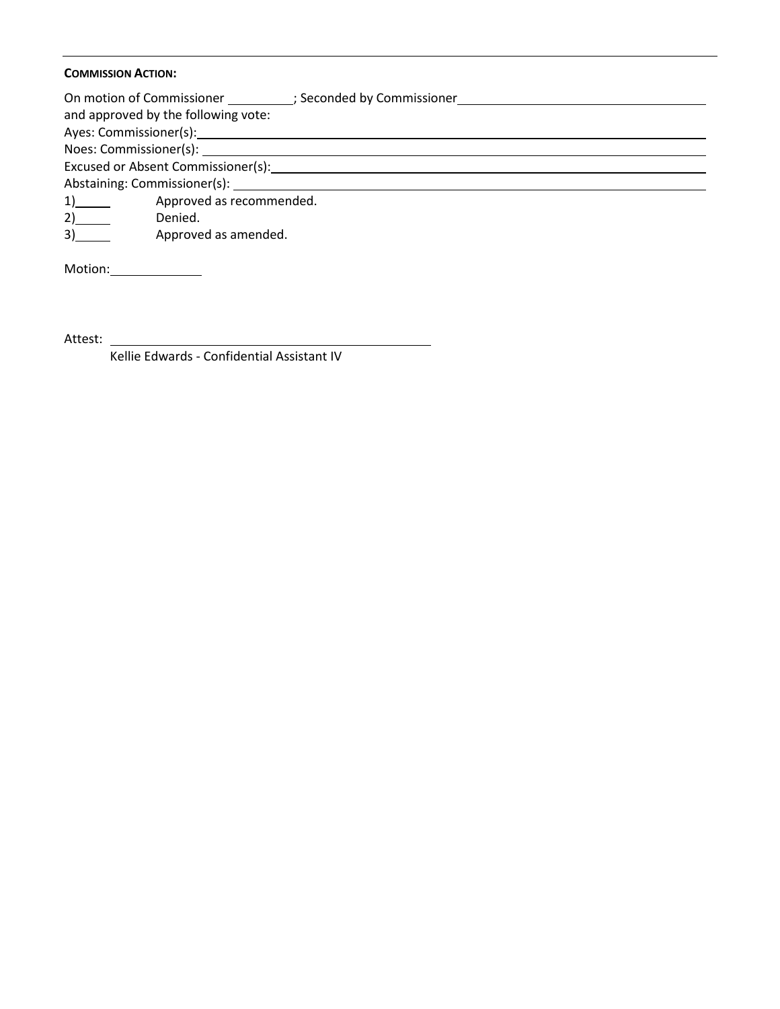#### **COMMISSION ACTION:**

| On motion of Commissioner (3) (3) Seconded by Commissioner |
|------------------------------------------------------------|
| and approved by the following vote:                        |
|                                                            |
|                                                            |
| Excused or Absent Commissioner(s):                         |
|                                                            |
| Approved as recommended.<br>1)                             |
| 2)<br>Denied.                                              |
| Approved as amended.<br>3)                                 |
| Motion:                                                    |

Attest: \_

Kellie Edwards - Confidential Assistant IV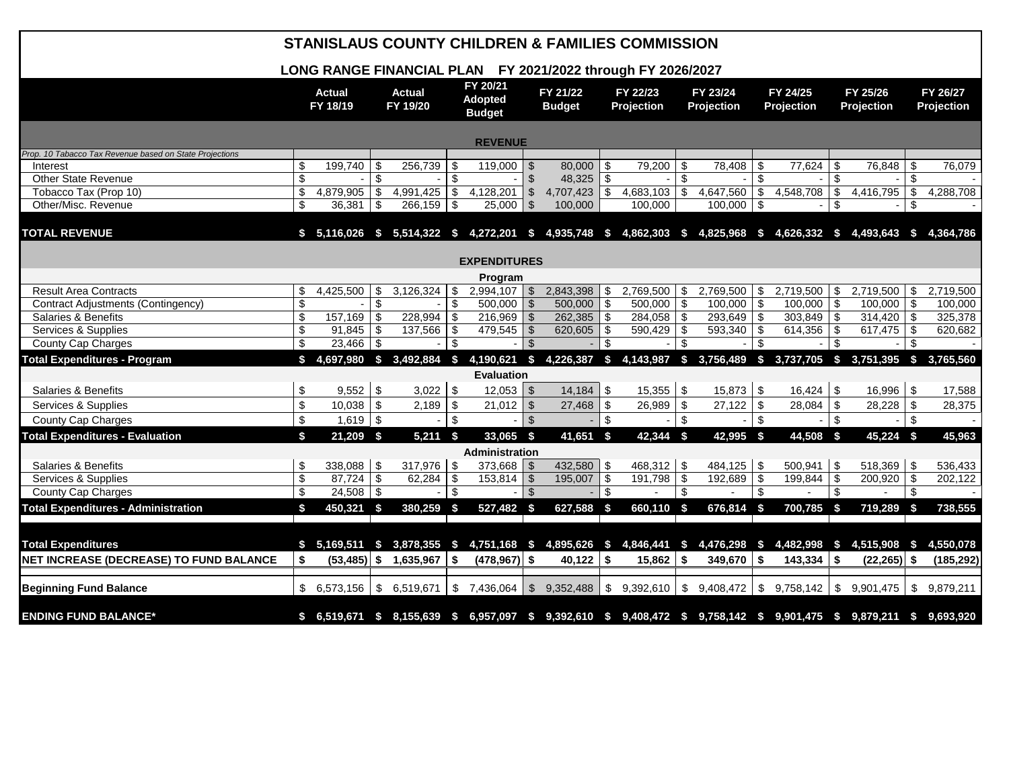|                                                         |             |                           |            | <b>STANISLAUS COUNTY CHILDREN &amp; FAMILIES COMMISSION</b>                      |     |                                             |                |                           |                |                                     |                           |                               |                         |                          |                           |                                                                                                                      |               |                        |
|---------------------------------------------------------|-------------|---------------------------|------------|----------------------------------------------------------------------------------|-----|---------------------------------------------|----------------|---------------------------|----------------|-------------------------------------|---------------------------|-------------------------------|-------------------------|--------------------------|---------------------------|----------------------------------------------------------------------------------------------------------------------|---------------|------------------------|
|                                                         |             |                           |            | LONG RANGE FINANCIAL PLAN FY 2021/2022 through FY 2026/2027                      |     |                                             |                |                           |                |                                     |                           |                               |                         |                          |                           |                                                                                                                      |               |                        |
|                                                         |             | <b>Actual</b><br>FY 18/19 |            | <b>Actual</b><br>FY 19/20                                                        |     | FY 20/21<br><b>Adopted</b><br><b>Budget</b> |                | FY 21/22<br><b>Budget</b> |                | FY 22/23<br><b>Projection</b>       |                           | FY 23/24<br><b>Projection</b> |                         | FY 24/25<br>Projection   |                           | FY 25/26<br>Projection                                                                                               |               | FY 26/27<br>Projection |
| <b>REVENUE</b>                                          |             |                           |            |                                                                                  |     |                                             |                |                           |                |                                     |                           |                               |                         |                          |                           |                                                                                                                      |               |                        |
| Prop. 10 Tabacco Tax Revenue based on State Projections |             |                           |            |                                                                                  |     |                                             |                |                           |                |                                     |                           |                               |                         |                          |                           |                                                                                                                      |               |                        |
| Interest                                                | \$          | 199,740                   | -\$        | 256,739                                                                          | S   | 119,000                                     |                | 80,000                    | \$             | 79,200                              | \$                        | 78,408                        | -\$                     | 77,624                   | \$                        | 76,848   \$                                                                                                          |               | 76,079                 |
| Other State Revenue                                     | \$          |                           | \$         |                                                                                  | \$  |                                             | $\mathfrak{L}$ | 48,325                    | \$             |                                     | $\mathfrak{L}$            |                               | \$                      |                          | \$                        | $-1$ \$                                                                                                              |               |                        |
| Tobacco Tax (Prop 10)                                   | \$          | 4,879,905                 | \$         | 4,991,425                                                                        | \$  | 4,128,201                                   | $\sqrt[6]{3}$  | 4,707,423                 | $\sqrt[6]{3}$  | 4,683,103                           | \$                        | 4,647,560                     | $\sqrt[6]{\frac{1}{2}}$ | 4,548,708                | $\overline{\$}$           | $4,416,795$ \$                                                                                                       |               | 4,288,708              |
| Other/Misc. Revenue                                     | \$          | 36,381                    | $\vert$ \$ | 266,159                                                                          | -\$ | 25,000                                      | $\mathfrak{L}$ | 100,000                   |                | 100,000                             |                           | $100,000$ \$                  |                         | $\overline{\phantom{a}}$ | \$                        | $\sim$                                                                                                               | \$            |                        |
| <b>TOTAL REVENUE</b>                                    |             |                           |            |                                                                                  |     |                                             |                |                           |                |                                     |                           |                               |                         |                          |                           | \$ 5,116,026 \$ 5,514,322 \$ 4,272,201 \$ 4,935,748 \$ 4,862,303 \$ 4,825,968 \$ 4,626,332 \$ 4,493,643 \$ 4,364,786 |               |                        |
|                                                         |             |                           |            |                                                                                  |     | <b>EXPENDITURES</b>                         |                |                           |                |                                     |                           |                               |                         |                          |                           |                                                                                                                      |               |                        |
|                                                         |             |                           |            |                                                                                  |     | Program                                     |                |                           |                |                                     |                           |                               |                         |                          |                           |                                                                                                                      |               |                        |
| <b>Result Area Contracts</b>                            | \$          | 4,425,500                 | \$         | 3,126,324                                                                        | \$  | $2,994,107$ \$                              |                | 2,843,398                 | \$             | 2,769,500                           | \$                        | $2,769,500$ \$                |                         | $2,719,500$ \$           |                           | $2,719,500$ \$                                                                                                       |               | 2,719,500              |
| Contract Adjustments (Contingency)                      | \$          |                           | \$         |                                                                                  | \$  | 500,000                                     | $\sqrt{3}$     | 500,000                   | $\sqrt[6]{3}$  | 500,000                             | \$                        | $100,000$ \$                  |                         | $100,000$ \$             |                           | $100,000$ \$                                                                                                         |               | 100,000                |
| Salaries & Benefits                                     | \$          | 157,169                   | -\$        | 228,994                                                                          | \$  | 216,969                                     | l \$           | 262,385 \$                |                | $284,058$ \$                        |                           | $293,649$ \$                  |                         | $303,849$ \$             |                           | $314,420$ \$                                                                                                         |               | 325,378                |
| Services & Supplies                                     | \$          | 91,845                    | l \$       | 137,566                                                                          | \$  | 479,545                                     | $\sqrt{3}$     | 620,605                   | \$             | 590,429                             | \$                        | $593,340$ \$                  |                         | $614,356$ \$             |                           | $617,475$ \$                                                                                                         |               | 620,682                |
| County Cap Charges                                      | \$          | 23,466                    | $\vert$ \$ |                                                                                  | \$  |                                             | $\mathfrak{S}$ |                           | $\mathfrak{L}$ |                                     | $\mathfrak{L}$            |                               | $\mathsf{\$}$           |                          | \$                        |                                                                                                                      | \$            |                        |
| <b>Total Expenditures - Program</b>                     | \$          |                           |            | 4,697,980 \$ 3,492,884 \$                                                        |     | 4,190,621 \$                                |                |                           |                | 4,226,387 \$ 4,143,987 \$ 3,756,489 |                           |                               |                         | $$3,737,705$ \$          |                           | 3,751,395 \$ 3,765,560                                                                                               |               |                        |
|                                                         |             |                           |            |                                                                                  |     | <b>Evaluation</b>                           |                |                           |                |                                     |                           |                               |                         |                          |                           |                                                                                                                      |               |                        |
| Salaries & Benefits                                     | \$          | $9,552$ \$                |            | 3,022                                                                            | \$  | $12,053$ \$                                 |                | $14,184$ \\$              |                | $15,355$ \$                         |                           | $15,873$ \$                   |                         | 16,424                   | \$                        | $16,996$ \$                                                                                                          |               | 17,588                 |
| Services & Supplies                                     | $\mathbb S$ | 10,038                    | $\vert$ \$ | 2,189                                                                            | -\$ | 21,012                                      | $\vert$ \$     | 27,468                    | \$             | 26,989                              | \$                        | $27,122$ \$                   |                         | 28,084                   | \$                        | $28,228$ \$                                                                                                          |               | 28,375                 |
| County Cap Charges                                      | $\mathbb S$ | $1,619$ \$                |            |                                                                                  | \$  |                                             | $\sqrt{3}$     |                           | \$             |                                     | $\mathfrak s$             |                               | $\sqrt[6]{\frac{1}{2}}$ |                          | $\mathfrak s$             |                                                                                                                      | $\mathfrak s$ |                        |
| <b>Total Expenditures - Evaluation</b>                  | \$          | $21,209$ \$               |            | $5,211$ \$                                                                       |     | 33,065 \$                                   |                | $41,651$ \$               |                | 42,344 \$                           |                           | 42,995 \$                     |                         | 44,508                   | $\sqrt{3}$                | 45,224 \$                                                                                                            |               | 45,963                 |
|                                                         |             |                           |            |                                                                                  |     | Administration                              |                |                           |                |                                     |                           |                               |                         |                          |                           |                                                                                                                      |               |                        |
| Salaries & Benefits                                     | \$          | $338,088$ \$              |            | $317,976$ \$                                                                     |     | $373,668$ \$                                |                | 432,580 \$                |                | $468,312$ \$                        |                           | $484,125$ \$                  |                         | $500,941$ \$             |                           | $518,369$ \$                                                                                                         |               | 536,433                |
| Services & Supplies                                     | \$          | $87,724$ \ \\$            |            | 62,284                                                                           | -\$ | $153,814$ \$                                |                | 195,007                   | \$             | 191,798                             | \$                        | $192,689$ \$                  |                         | 199,844                  | $\overline{\$}$           | $200,920$ \$                                                                                                         |               | 202,122                |
| County Cap Charges                                      | \$          | $24,508$ \$               |            | $\overline{\phantom{a}}$                                                         | \$  | $\blacksquare$                              | $\vert$ \$     | $\overline{a}$            | \$             |                                     | $\boldsymbol{\mathsf{S}}$ |                               | \$                      |                          | \$                        | $\blacksquare$                                                                                                       | \$            | $\overline{a}$         |
| <b>Total Expenditures - Administration</b>              | \$          | 450.321 \$                |            | 380,259 \$                                                                       |     | 527,482 \$                                  |                | 627,588 \$                |                | $660,110$ \$                        |                           | 676.814 \$                    |                         | 700.785                  | - \$                      | $719,289$ \$                                                                                                         |               | 738,555                |
|                                                         |             |                           |            |                                                                                  |     |                                             |                |                           |                |                                     |                           |                               |                         |                          |                           |                                                                                                                      |               |                        |
| <b>Total Expenditures</b>                               |             |                           |            | \$ 5,169,511 \$ 3,878,355 \$ 4,751,168 \$ 4,895,626 \$ 4,846,441 \$ 4,476,298 \$ |     |                                             |                |                           |                |                                     |                           |                               |                         |                          |                           | 4,482,998 \$ 4,515,908 \$ 4,550,078                                                                                  |               |                        |
| NET INCREASE (DECREASE) TO FUND BALANCE                 | \$          |                           |            | $(53,485)$ \$ 1,635,967                                                          | \$  | $(478,967)$ \$                              |                | 40,122                    | \$             | 15,862                              | -\$                       | 349,670 $\frac{1}{3}$         |                         | 143,334                  | \$                        | $(22, 265)$ \$                                                                                                       |               | (185, 292)             |
| <b>Beginning Fund Balance</b>                           | \$          | 6,573,156                 |            | $\frac{1}{5}$ 6,519,671                                                          |     | \$7,436,064                                 |                | \$9,352,488               |                | \$9,392,610                         |                           | \$9,408,472                   | $\sqrt[6]{2}$           | 9,758,142                | $\boldsymbol{\mathsf{S}}$ | 9,901,475                                                                                                            | $\sqrt[6]{2}$ | 9,879,211              |
| <b>ENDING FUND BALANCE*</b>                             |             |                           |            |                                                                                  |     |                                             |                |                           |                |                                     |                           |                               |                         |                          |                           | \$ 6,519,671 \$ 8,155,639 \$ 6,957,097 \$ 9,392,610 \$ 9,408,472 \$ 9,758,142 \$ 9,901,475 \$ 9,879,211 \$ 9,693,920 |               |                        |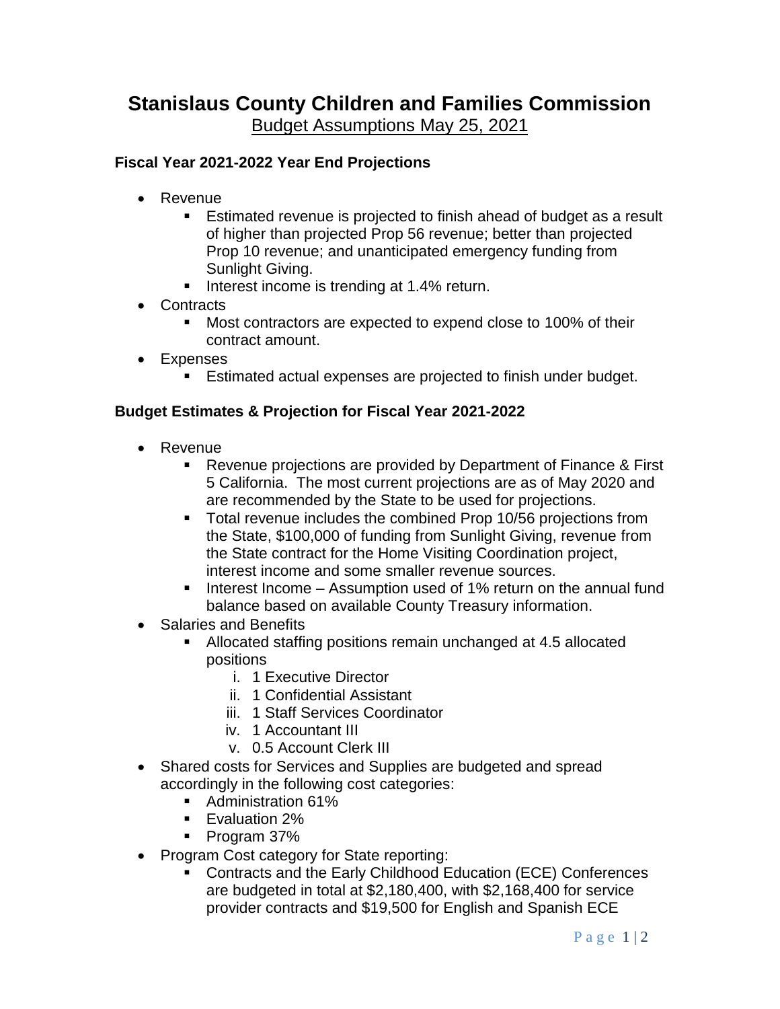# **Stanislaus County Children and Families Commission**

Budget Assumptions May 25, 2021

## **Fiscal Year 2021-2022 Year End Projections**

- Revenue
	- Estimated revenue is projected to finish ahead of budget as a result of higher than projected Prop 56 revenue; better than projected Prop 10 revenue; and unanticipated emergency funding from Sunlight Giving.
	- Interest income is trending at 1.4% return.
- Contracts
	- Most contractors are expected to expend close to 100% of their contract amount.
- Expenses
	- Estimated actual expenses are projected to finish under budget.

## **Budget Estimates & Projection for Fiscal Year 2021-2022**

- Revenue
	- Revenue projections are provided by Department of Finance & First 5 California. The most current projections are as of May 2020 and are recommended by the State to be used for projections.
	- **Total revenue includes the combined Prop 10/56 projections from** the State, \$100,000 of funding from Sunlight Giving, revenue from the State contract for the Home Visiting Coordination project, interest income and some smaller revenue sources.
	- Interest Income Assumption used of 1% return on the annual fund balance based on available County Treasury information.
- Salaries and Benefits
	- Allocated staffing positions remain unchanged at 4.5 allocated positions
		- i. 1 Executive Director
		- ii. 1 Confidential Assistant
		- iii. 1 Staff Services Coordinator
		- iv. 1 Accountant III
		- v. 0.5 Account Clerk III
- Shared costs for Services and Supplies are budgeted and spread accordingly in the following cost categories:
	- Administration 61%
	- Evaluation 2%
	- Program 37%
- Program Cost category for State reporting:
	- Contracts and the Early Childhood Education (ECE) Conferences are budgeted in total at \$2,180,400, with \$2,168,400 for service provider contracts and \$19,500 for English and Spanish ECE